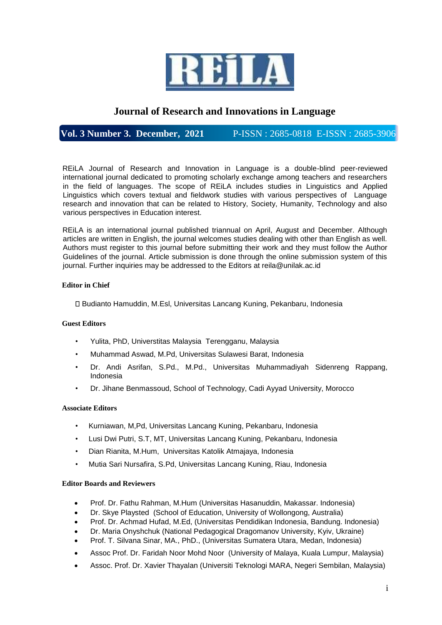

# **Journal of Research and Innovations in Language**

# **Vol. 3 Number 3. December, 2021** P-ISSN : 2685-0818 E-ISSN : 2685-3906

REiLA Journal of Research and Innovation in Language is a double-blind peer-reviewed international journal dedicated to promoting scholarly exchange among teachers and researchers in the field of languages. The scope of REiLA includes studies in Linguistics and Applied Linguistics which covers textual and fieldwork studies with various perspectives of Language research and innovation that can be related to History, Society, Humanity, Technology and also various perspectives in Education interest.

REiLA is an international journal published triannual on April, August and December. Although articles are written in English, the journal welcomes studies dealing with other than English as well. Authors must register to this journal before submitting their work and they must follow the Author Guidelines of the journal. Article submission is done through the online submission system of this journal. Further inquiries may be addressed to the Editors at reila@unilak.ac.id

## **Editor in Chief**

Budianto Hamuddin, M.Esl, Universitas Lancang Kuning, Pekanbaru, Indonesia

## **Guest Editors**

- Yulita, PhD, Universtitas Malaysia Terengganu, Malaysia
- Muhammad Aswad, M.Pd, Universitas Sulawesi Barat, Indonesia
- Dr. Andi Asrifan, S.Pd., M.Pd., Universitas Muhammadiyah Sidenreng Rappang, Indonesia
- Dr. Jihane Benmassoud, School of Technology, Cadi Ayyad University, Morocco

#### **Associate Editors**

- Kurniawan, M,Pd, Universitas Lancang Kuning, Pekanbaru, Indonesia
- Lusi Dwi Putri, S.T, MT, Universitas Lancang Kuning, Pekanbaru, Indonesia
- Dian Rianita, M.Hum, Universitas Katolik Atmajaya, Indonesia
- Mutia Sari Nursafira, S.Pd, Universitas Lancang Kuning, Riau, Indonesia

#### **Editor Boards and Reviewers**

- Prof. Dr. Fathu Rahman, M.Hum (Universitas Hasanuddin, Makassar. Indonesia)
- Dr. Skye Playsted (School of Education, University of Wollongong, Australia)
- Prof. Dr. Achmad Hufad, M.Ed, (Universitas Pendidikan Indonesia, Bandung. Indonesia)
- Dr. Maria Onyshchuk (National Pedagogical Dragomanov University, Kyiv, Ukraine)
- Prof. T. Silvana Sinar, MA., PhD., (Universitas Sumatera Utara, Medan, Indonesia)
- Assoc Prof. Dr. Faridah Noor Mohd Noor (University of Malaya, Kuala Lumpur, Malaysia)
- Assoc. Prof. Dr. Xavier Thayalan (Universiti Teknologi MARA, Negeri Sembilan, Malaysia)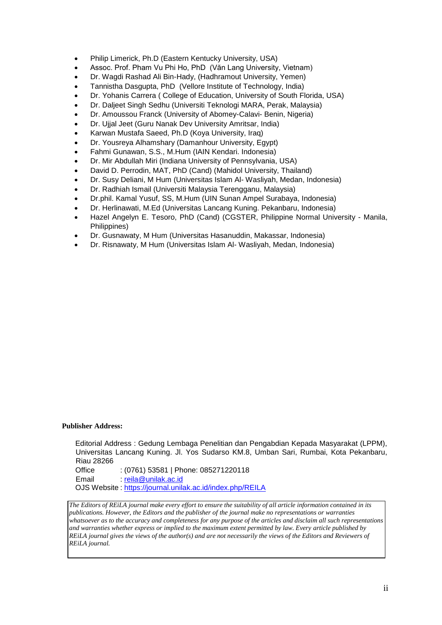- Philip Limerick, Ph.D (Eastern Kentucky University, USA)
- Assoc. Prof. Pham Vu Phi Ho, PhD (Văn Lang University, Vietnam)
- Dr. Wagdi Rashad Ali Bin-Hady, (Hadhramout University, Yemen)
- Tannistha Dasgupta, PhD (Vellore Institute of Technology, India)
- Dr. Yohanis Carrera ( College of Education, University of South Florida, USA)
- Dr. Daljeet Singh Sedhu (Universiti Teknologi MARA, Perak, Malaysia)
- Dr. Amoussou Franck (University of Abomey-Calavi- Benin, Nigeria)
- Dr. Ujjal Jeet (Guru Nanak Dev University Amritsar, India)
- Karwan Mustafa Saeed, Ph.D (Koya University, Iraq)
- Dr. Yousreya Alhamshary (Damanhour University, Egypt)
- Fahmi Gunawan, S.S., M.Hum (IAIN Kendari. Indonesia)
- Dr. Mir Abdullah Miri (Indiana University of Pennsylvania, USA)
- David D. Perrodin, MAT, PhD (Cand) (Mahidol University, Thailand)
- Dr. Susy Deliani, M Hum (Universitas Islam Al- Wasliyah, Medan, Indonesia)
- Dr. Radhiah Ismail (Universiti Malaysia Terengganu, Malaysia)
- Dr.phil. Kamal Yusuf, SS, M.Hum (UIN Sunan Ampel Surabaya, Indonesia)
- Dr. Herlinawati, M.Ed (Universitas Lancang Kuning. Pekanbaru, Indonesia)
- Hazel Angelyn E. Tesoro, PhD (Cand) (CGSTER, Philippine Normal University Manila, Philippines)
- Dr. Gusnawaty, M Hum (Universitas Hasanuddin, Makassar, Indonesia)
- Dr. Risnawaty, M Hum (Universitas Islam Al- Wasliyah, Medan, Indonesia)

#### **Publisher Address:**

Editorial Address : Gedung Lembaga Penelitian dan Pengabdian Kepada Masyarakat (LPPM), Universitas Lancang Kuning. Jl. Yos Sudarso KM.8, Umban Sari, Rumbai, Kota Pekanbaru, Riau 28266

Office : (0761) 53581 | Phone: 085271220118 Email : reila@unilak.ac.id OJS Website : https://journal.unilak.ac.id/index.php/REILA

*The Editors of REiLA journal make every effort to ensure the suitability of all article information contained in its publications. However, the Editors and the publisher of the journal make no representations or warranties whatsoever as to the accuracy and completeness for any purpose of the articles and disclaim all such representations and warranties whether express or implied to the maximum extent permitted by law. Every article published by REILA journal gives the views of the author(s) and are not necessarily the views of the Editors and Reviewers of REiLA journal.*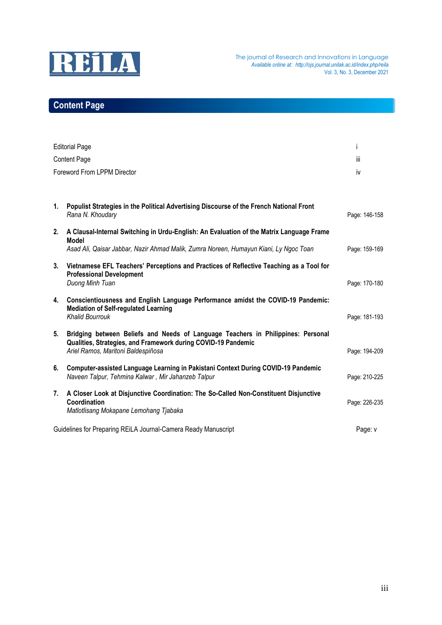

# **Content Page**

| <b>Editorial Page</b><br><b>Content Page</b><br>Foreword From LPPM Director                           |                                                                                                                                                                                         | Ť<br>iΪİ<br>iv |    |                                                                                                             |               |
|-------------------------------------------------------------------------------------------------------|-----------------------------------------------------------------------------------------------------------------------------------------------------------------------------------------|----------------|----|-------------------------------------------------------------------------------------------------------------|---------------|
|                                                                                                       |                                                                                                                                                                                         |                | 1. | Populist Strategies in the Political Advertising Discourse of the French National Front<br>Rana N. Khoudary | Page: 146-158 |
|                                                                                                       |                                                                                                                                                                                         |                | 2. | A Clausal-Internal Switching in Urdu-English: An Evaluation of the Matrix Language Frame                    |               |
| <b>Model</b><br>Asad Ali, Qaisar Jabbar, Nazir Ahmad Malik, Zumra Noreen, Humayun Kiani, Ly Ngoc Toan | Page: 159-169                                                                                                                                                                           |                |    |                                                                                                             |               |
| 3.                                                                                                    | Vietnamese EFL Teachers' Perceptions and Practices of Reflective Teaching as a Tool for<br><b>Professional Development</b><br>Duong Minh Tuan                                           | Page: 170-180  |    |                                                                                                             |               |
|                                                                                                       | 4. Conscientiousness and English Language Performance amidst the COVID-19 Pandemic:<br><b>Mediation of Self-regulated Learning</b><br><b>Khalid Bourrouk</b>                            | Page: 181-193  |    |                                                                                                             |               |
| 5.                                                                                                    | Bridging between Beliefs and Needs of Language Teachers in Philippines: Personal<br>Qualities, Strategies, and Framework during COVID-19 Pandemic<br>Ariel Ramos, Maritoni Baldespiñosa | Page: 194-209  |    |                                                                                                             |               |
| 6.                                                                                                    | Computer-assisted Language Learning in Pakistani Context During COVID-19 Pandemic<br>Naveen Talpur, Tehmina Kalwar, Mir Jahanzeb Talpur                                                 | Page: 210-225  |    |                                                                                                             |               |
| 7.                                                                                                    | A Closer Look at Disjunctive Coordination: The So-Called Non-Constituent Disjunctive<br>Coordination<br>Matlotlisang Mokapane Lemohang Tjabaka                                          | Page: 226-235  |    |                                                                                                             |               |
| Guidelines for Preparing REiLA Journal-Camera Ready Manuscript                                        |                                                                                                                                                                                         | Page: v        |    |                                                                                                             |               |